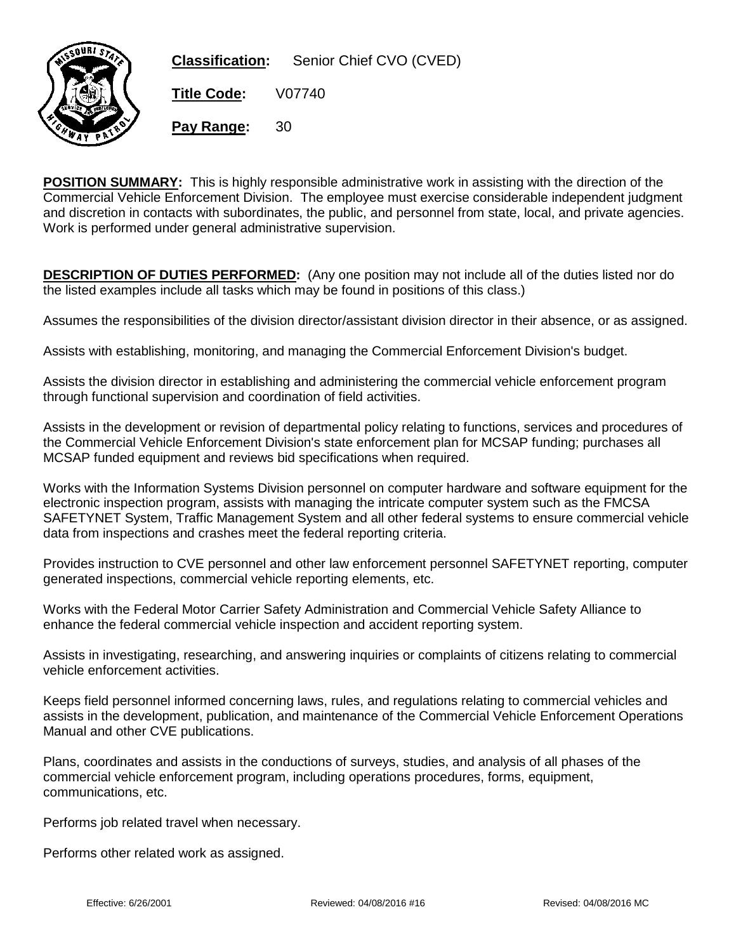

**POSITION SUMMARY:** This is highly responsible administrative work in assisting with the direction of the Commercial Vehicle Enforcement Division. The employee must exercise considerable independent judgment and discretion in contacts with subordinates, the public, and personnel from state, local, and private agencies. Work is performed under general administrative supervision.

**DESCRIPTION OF DUTIES PERFORMED:** (Any one position may not include all of the duties listed nor do the listed examples include all tasks which may be found in positions of this class.)

Assumes the responsibilities of the division director/assistant division director in their absence, or as assigned.

Assists with establishing, monitoring, and managing the Commercial Enforcement Division's budget.

Assists the division director in establishing and administering the commercial vehicle enforcement program through functional supervision and coordination of field activities.

Assists in the development or revision of departmental policy relating to functions, services and procedures of the Commercial Vehicle Enforcement Division's state enforcement plan for MCSAP funding; purchases all MCSAP funded equipment and reviews bid specifications when required.

Works with the Information Systems Division personnel on computer hardware and software equipment for the electronic inspection program, assists with managing the intricate computer system such as the FMCSA SAFETYNET System, Traffic Management System and all other federal systems to ensure commercial vehicle data from inspections and crashes meet the federal reporting criteria.

Provides instruction to CVE personnel and other law enforcement personnel SAFETYNET reporting, computer generated inspections, commercial vehicle reporting elements, etc.

Works with the Federal Motor Carrier Safety Administration and Commercial Vehicle Safety Alliance to enhance the federal commercial vehicle inspection and accident reporting system.

Assists in investigating, researching, and answering inquiries or complaints of citizens relating to commercial vehicle enforcement activities.

Keeps field personnel informed concerning laws, rules, and regulations relating to commercial vehicles and assists in the development, publication, and maintenance of the Commercial Vehicle Enforcement Operations Manual and other CVE publications.

Plans, coordinates and assists in the conductions of surveys, studies, and analysis of all phases of the commercial vehicle enforcement program, including operations procedures, forms, equipment, communications, etc.

Performs job related travel when necessary.

Performs other related work as assigned.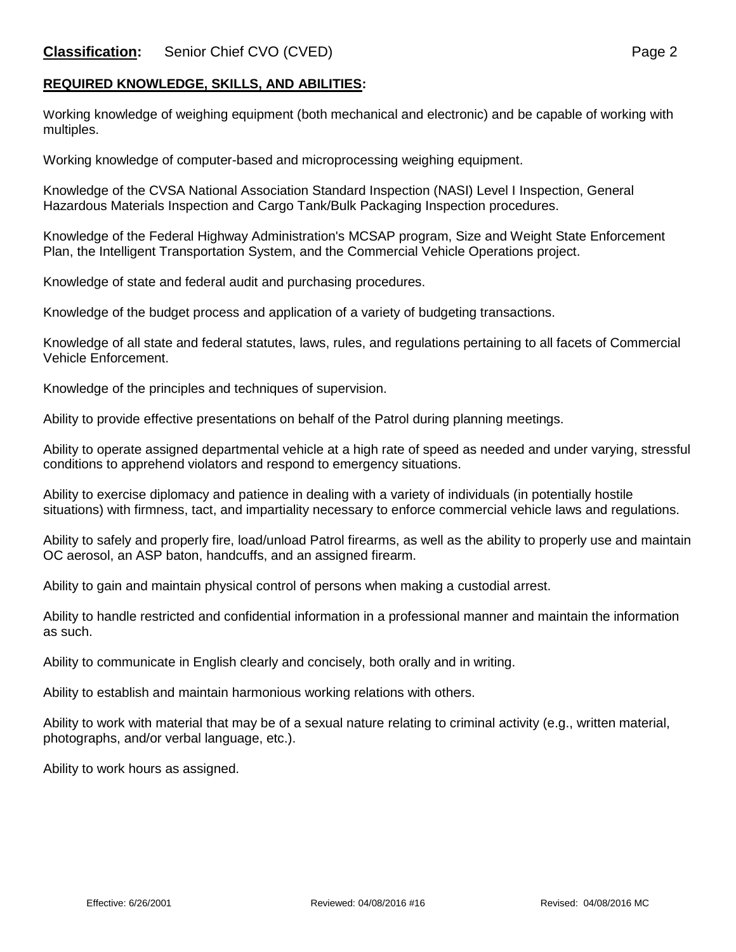## **REQUIRED KNOWLEDGE, SKILLS, AND ABILITIES:**

Working knowledge of weighing equipment (both mechanical and electronic) and be capable of working with multiples.

Working knowledge of computer-based and microprocessing weighing equipment.

Knowledge of the CVSA National Association Standard Inspection (NASI) Level I Inspection, General Hazardous Materials Inspection and Cargo Tank/Bulk Packaging Inspection procedures.

Knowledge of the Federal Highway Administration's MCSAP program, Size and Weight State Enforcement Plan, the Intelligent Transportation System, and the Commercial Vehicle Operations project.

Knowledge of state and federal audit and purchasing procedures.

Knowledge of the budget process and application of a variety of budgeting transactions.

Knowledge of all state and federal statutes, laws, rules, and regulations pertaining to all facets of Commercial Vehicle Enforcement.

Knowledge of the principles and techniques of supervision.

Ability to provide effective presentations on behalf of the Patrol during planning meetings.

Ability to operate assigned departmental vehicle at a high rate of speed as needed and under varying, stressful conditions to apprehend violators and respond to emergency situations.

Ability to exercise diplomacy and patience in dealing with a variety of individuals (in potentially hostile situations) with firmness, tact, and impartiality necessary to enforce commercial vehicle laws and regulations.

Ability to safely and properly fire, load/unload Patrol firearms, as well as the ability to properly use and maintain OC aerosol, an ASP baton, handcuffs, and an assigned firearm.

Ability to gain and maintain physical control of persons when making a custodial arrest.

Ability to handle restricted and confidential information in a professional manner and maintain the information as such.

Ability to communicate in English clearly and concisely, both orally and in writing.

Ability to establish and maintain harmonious working relations with others.

Ability to work with material that may be of a sexual nature relating to criminal activity (e.g., written material, photographs, and/or verbal language, etc.).

Ability to work hours as assigned.